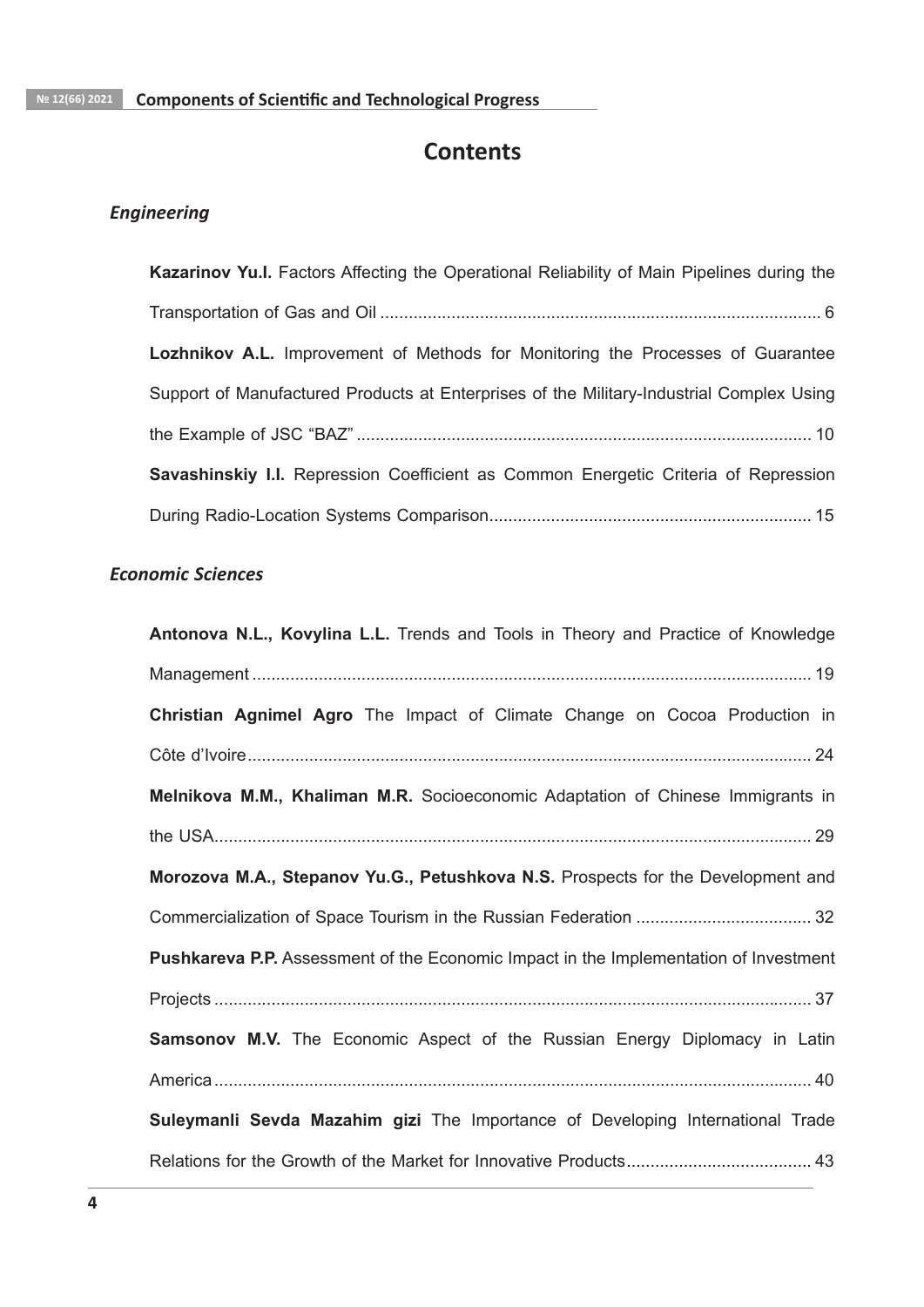# **Contents**

# **Engineering**

| Kazarinov Yu.I. Factors Affecting the Operational Reliability of Main Pipelines during the |
|--------------------------------------------------------------------------------------------|
|                                                                                            |
| <b>Lozhnikov A.L.</b> Improvement of Methods for Monitoring the Processes of Guarantee     |
| Support of Manufactured Products at Enterprises of the Military-Industrial Complex Using   |
|                                                                                            |
| Savashinskiy I.I. Repression Coefficient as Common Energetic Criteria of Repression        |
|                                                                                            |

## **Economic Sciences**

| Antonova N.L., Kovylina L.L. Trends and Tools in Theory and Practice of Knowledge     |
|---------------------------------------------------------------------------------------|
|                                                                                       |
| Christian Agnimel Agro The Impact of Climate Change on Cocoa Production in            |
|                                                                                       |
| Melnikova M.M., Khaliman M.R. Socioeconomic Adaptation of Chinese Immigrants in       |
|                                                                                       |
| Morozova M.A., Stepanov Yu.G., Petushkova N.S. Prospects for the Development and      |
|                                                                                       |
| Pushkareva P.P. Assessment of the Economic Impact in the Implementation of Investment |
|                                                                                       |
| <b>Samsonov M.V.</b> The Economic Aspect of the Russian Energy Diplomacy in Latin     |
|                                                                                       |
| Suleymanli Sevda Mazahim gizi The Importance of Developing International Trade        |
|                                                                                       |